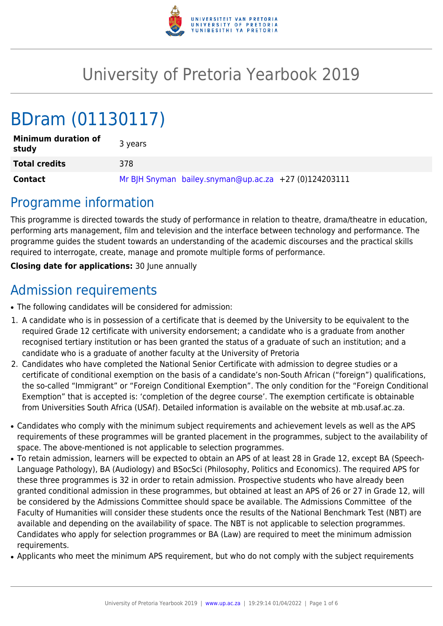

# University of Pretoria Yearbook 2019

# BDram (01130117)

| <b>Minimum duration of</b><br>study | 3 years                                               |
|-------------------------------------|-------------------------------------------------------|
| <b>Total credits</b>                | 378                                                   |
| <b>Contact</b>                      | Mr BJH Snyman bailey.snyman@up.ac.za +27 (0)124203111 |

### Programme information

This programme is directed towards the study of performance in relation to theatre, drama/theatre in education, performing arts management, film and television and the interface between technology and performance. The programme guides the student towards an understanding of the academic discourses and the practical skills required to interrogate, create, manage and promote multiple forms of performance.

**Closing date for applications:** 30 June annually

## Admission requirements

- The following candidates will be considered for admission:
- 1. A candidate who is in possession of a certificate that is deemed by the University to be equivalent to the required Grade 12 certificate with university endorsement; a candidate who is a graduate from another recognised tertiary institution or has been granted the status of a graduate of such an institution; and a candidate who is a graduate of another faculty at the University of Pretoria
- 2. Candidates who have completed the National Senior Certificate with admission to degree studies or a certificate of conditional exemption on the basis of a candidate's non-South African ("foreign") qualifications, the so-called "Immigrant" or "Foreign Conditional Exemption". The only condition for the "Foreign Conditional Exemption" that is accepted is: 'completion of the degree course'. The exemption certificate is obtainable from Universities South Africa (USAf). Detailed information is available on the website at mb.usaf.ac.za.
- Candidates who comply with the minimum subject requirements and achievement levels as well as the APS requirements of these programmes will be granted placement in the programmes, subject to the availability of space. The above-mentioned is not applicable to selection programmes.
- To retain admission, learners will be expected to obtain an APS of at least 28 in Grade 12, except BA (Speech-Language Pathology), BA (Audiology) and BSocSci (Philosophy, Politics and Economics). The required APS for these three programmes is 32 in order to retain admission. Prospective students who have already been granted conditional admission in these programmes, but obtained at least an APS of 26 or 27 in Grade 12, will be considered by the Admissions Committee should space be available. The Admissions Committee of the Faculty of Humanities will consider these students once the results of the National Benchmark Test (NBT) are available and depending on the availability of space. The NBT is not applicable to selection programmes. Candidates who apply for selection programmes or BA (Law) are required to meet the minimum admission requirements.
- Applicants who meet the minimum APS requirement, but who do not comply with the subject requirements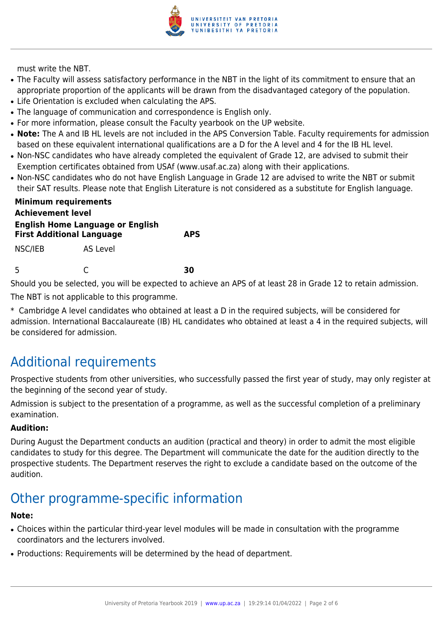

must write the NBT.

- The Faculty will assess satisfactory performance in the NBT in the light of its commitment to ensure that an appropriate proportion of the applicants will be drawn from the disadvantaged category of the population.
- Life Orientation is excluded when calculating the APS.
- The language of communication and correspondence is English only.
- For more information, please consult the Faculty yearbook on the UP website.
- Note: The A and IB HL levels are not included in the APS Conversion Table. Faculty requirements for admission based on these equivalent international qualifications are a D for the A level and 4 for the IB HL level.
- Non-NSC candidates who have already completed the equivalent of Grade 12, are advised to submit their Exemption certificates obtained from USAf (www.usaf.ac.za) along with their applications.
- Non-NSC candidates who do not have English Language in Grade 12 are advised to write the NBT or submit their SAT results. Please note that English Literature is not considered as a substitute for English language.

| <b>Minimum requirements</b><br><b>Achievement level</b>                     |          |            |  |
|-----------------------------------------------------------------------------|----------|------------|--|
| <b>English Home Language or English</b><br><b>First Additional Language</b> |          | <b>APS</b> |  |
| NSC/IEB                                                                     | AS Level |            |  |
| 5                                                                           |          | 3r         |  |

Should you be selected, you will be expected to achieve an APS of at least 28 in Grade 12 to retain admission.

The NBT is not applicable to this programme.

\* Cambridge A level candidates who obtained at least a D in the required subjects, will be considered for admission. International Baccalaureate (IB) HL candidates who obtained at least a 4 in the required subjects, will be considered for admission.

# Additional requirements

Prospective students from other universities, who successfully passed the first year of study, may only register at the beginning of the second year of study.

Admission is subject to the presentation of a programme, as well as the successful completion of a preliminary examination.

#### **Audition:**

During August the Department conducts an audition (practical and theory) in order to admit the most eligible candidates to study for this degree. The Department will communicate the date for the audition directly to the prospective students. The Department reserves the right to exclude a candidate based on the outcome of the audition.

# Other programme-specific information

#### **Note:**

- Choices within the particular third-year level modules will be made in consultation with the programme coordinators and the lecturers involved.
- Productions: Requirements will be determined by the head of department.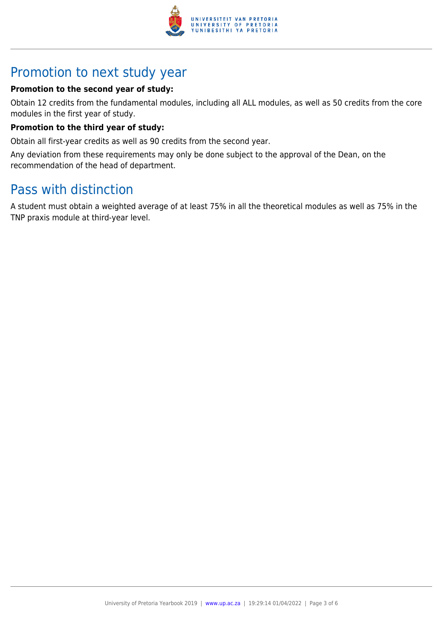

### Promotion to next study year

#### **Promotion to the second year of study:**

Obtain 12 credits from the fundamental modules, including all ALL modules, as well as 50 credits from the core modules in the first year of study.

#### **Promotion to the third year of study:**

Obtain all first-year credits as well as 90 credits from the second year.

Any deviation from these requirements may only be done subject to the approval of the Dean, on the recommendation of the head of department.

# Pass with distinction

A student must obtain a weighted average of at least 75% in all the theoretical modules as well as 75% in the TNP praxis module at third-year level.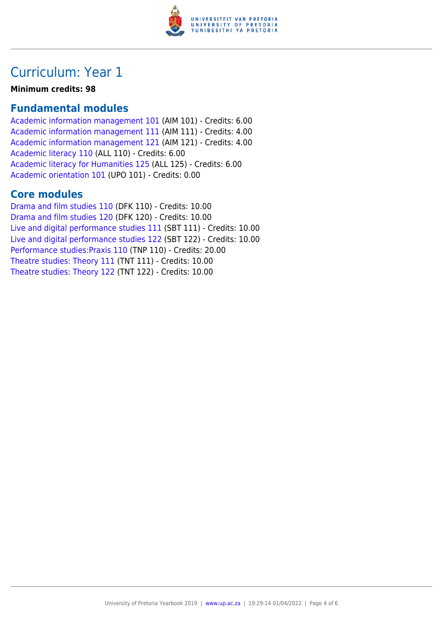

### Curriculum: Year 1

**Minimum credits: 98**

### **Fundamental modules**

[Academic information management 101](https://www.up.ac.za/yearbooks/2019/modules/view/AIM 101) (AIM 101) - Credits: 6.00 [Academic information management 111](https://www.up.ac.za/yearbooks/2019/modules/view/AIM 111) (AIM 111) - Credits: 4.00 [Academic information management 121](https://www.up.ac.za/yearbooks/2019/modules/view/AIM 121) (AIM 121) - Credits: 4.00 [Academic literacy 110](https://www.up.ac.za/yearbooks/2019/modules/view/ALL 110) (ALL 110) - Credits: 6.00 [Academic literacy for Humanities 125](https://www.up.ac.za/yearbooks/2019/modules/view/ALL 125) (ALL 125) - Credits: 6.00 [Academic orientation 101](https://www.up.ac.za/yearbooks/2019/modules/view/UPO 101) (UPO 101) - Credits: 0.00

#### **Core modules**

[Drama and film studies 110](https://www.up.ac.za/yearbooks/2019/modules/view/DFK 110) (DFK 110) - Credits: 10.00 [Drama and film studies 120](https://www.up.ac.za/yearbooks/2019/modules/view/DFK 120) (DFK 120) - Credits: 10.00 [Live and digital performance studies 111](https://www.up.ac.za/yearbooks/2019/modules/view/SBT 111) (SBT 111) - Credits: 10.00 [Live and digital performance studies 122](https://www.up.ac.za/yearbooks/2019/modules/view/SBT 122) (SBT 122) - Credits: 10.00 [Performance studies:Praxis 110](https://www.up.ac.za/yearbooks/2019/modules/view/TNP 110) (TNP 110) - Credits: 20.00 [Theatre studies: Theory 111](https://www.up.ac.za/yearbooks/2019/modules/view/TNT 111) (TNT 111) - Credits: 10.00 [Theatre studies: Theory 122](https://www.up.ac.za/yearbooks/2019/modules/view/TNT 122) (TNT 122) - Credits: 10.00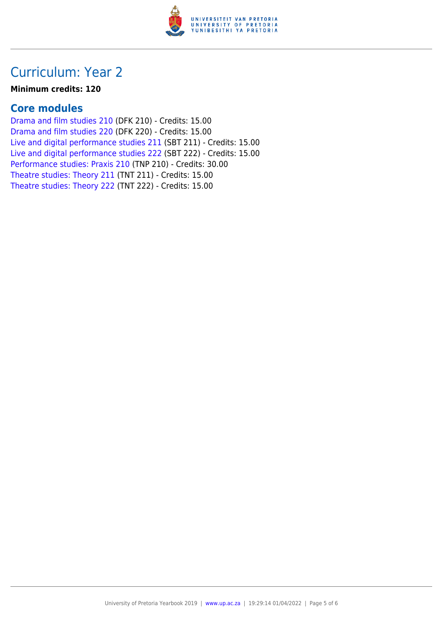

### Curriculum: Year 2

#### **Minimum credits: 120**

### **Core modules**

[Drama and film studies 210](https://www.up.ac.za/yearbooks/2019/modules/view/DFK 210) (DFK 210) - Credits: 15.00 [Drama and film studies 220](https://www.up.ac.za/yearbooks/2019/modules/view/DFK 220) (DFK 220) - Credits: 15.00 [Live and digital performance studies 211](https://www.up.ac.za/yearbooks/2019/modules/view/SBT 211) (SBT 211) - Credits: 15.00 [Live and digital performance studies 222](https://www.up.ac.za/yearbooks/2019/modules/view/SBT 222) (SBT 222) - Credits: 15.00 [Performance studies: Praxis 210](https://www.up.ac.za/yearbooks/2019/modules/view/TNP 210) (TNP 210) - Credits: 30.00 [Theatre studies: Theory 211](https://www.up.ac.za/yearbooks/2019/modules/view/TNT 211) (TNT 211) - Credits: 15.00 [Theatre studies: Theory 222](https://www.up.ac.za/yearbooks/2019/modules/view/TNT 222) (TNT 222) - Credits: 15.00